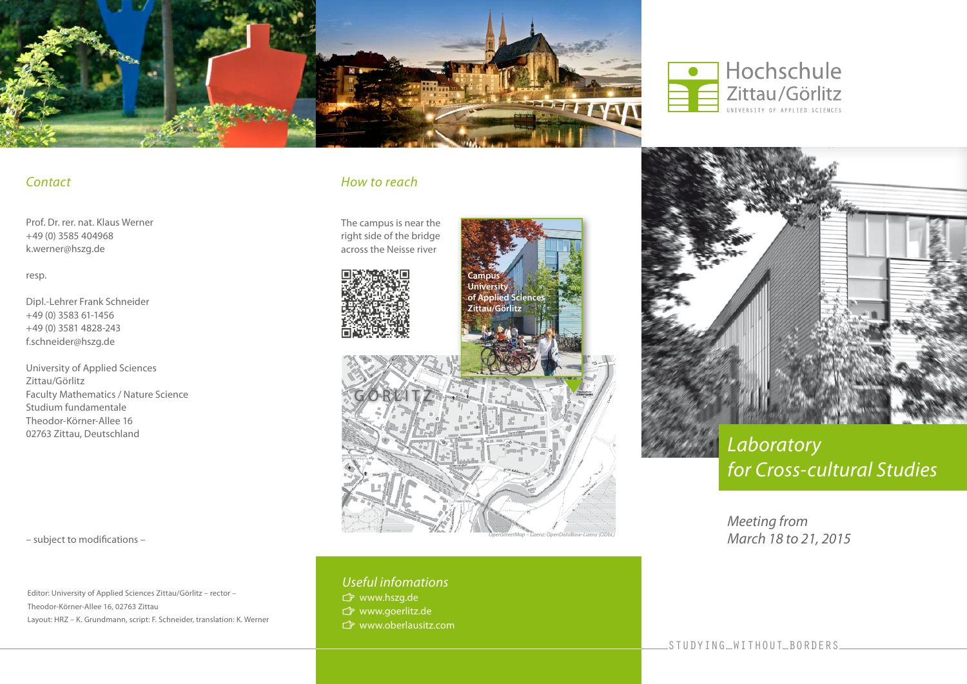



### *Contact*

Prof. Dr. rer. nat. Klaus Werner +49 (0) 3585 404968 k.werner@hszg.de

resp.

Dipl.-Lehrer Frank Schneider +49 (0) 3583 61-1456 +49 (0) 3581 4828-243 f.schneider@hszg.de

University of Applied Sciences Zittau/Görlitz Faculty Mathematics / Nature Science Studium fundamentale Theodor-Körner-Allee 16 02763 Zittau, Deutschland

– subject to modifications –

Editor: University of Applied Sciences Zittau/Görlitz – rector – Theodor-Körner-Allee 16, 02763 Zittau Layout: HRZ – K. Grundmann, script: F. Schneider, translation: K. Werner

## *How to reach*

The campus is near the right side of the bridge across the Neisse river





*OpenStreetMap – Lizenz: OpenDataBase-Lizenz (ODbL)*

*Useful infomations*

- www.hszg.de
- www.goerlitz.de
- www.oberlausitz.com



# *Laboratory for Cross-cultural Studies*

*Meeting from March 18 to 21, 2015*